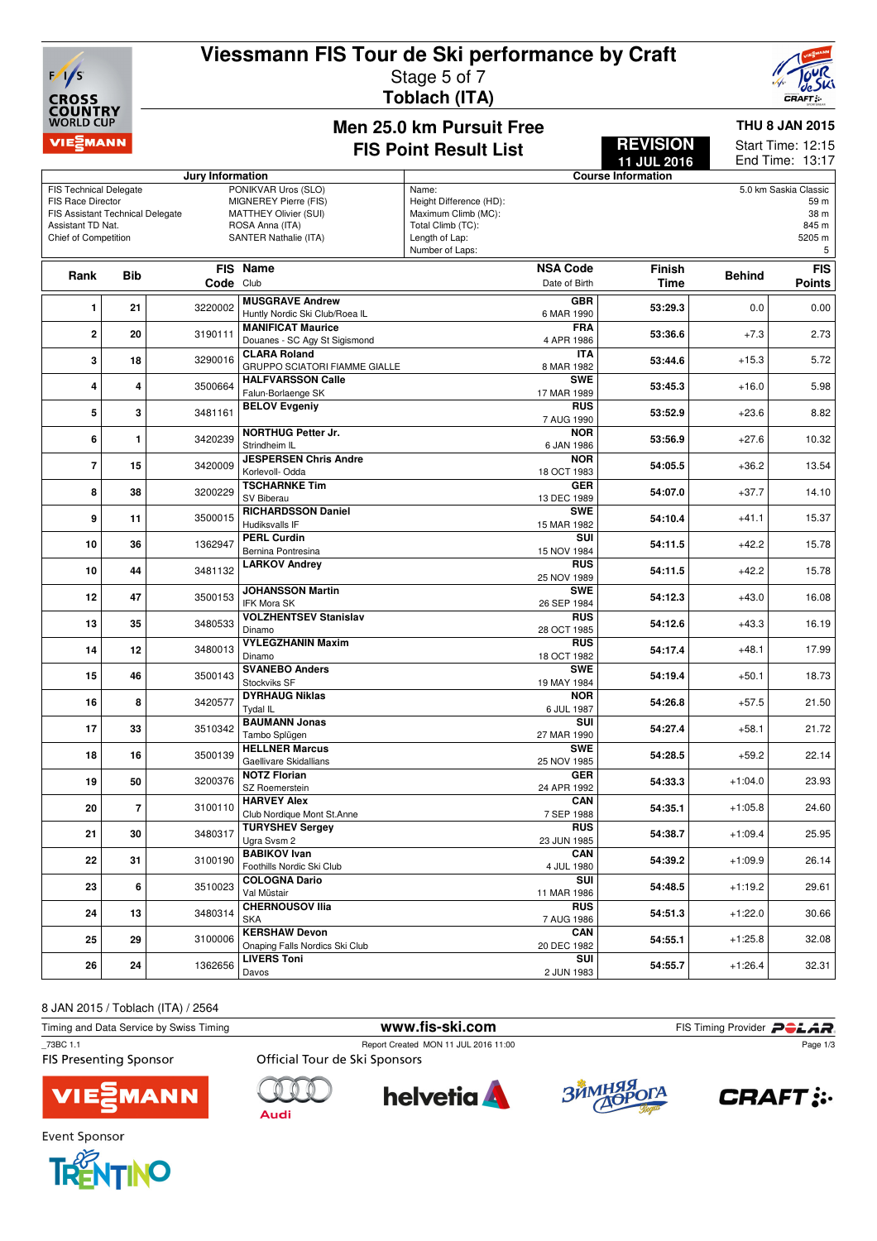# **Viessmann FIS Tour de Ski performance by Craft**



# Stage 5 of 7

**Toblach (ITA)**



#### **Men 25.0 km Pursuit Free FIS Point Result List**

**REVISION 11 JUL 2016**

**THU 8 JAN 2015** 12:15 Start Time:

|                                                      |                |           |                                                      |                         |                          | 11 JUL 2016               |               | End Time: 13:17       |
|------------------------------------------------------|----------------|-----------|------------------------------------------------------|-------------------------|--------------------------|---------------------------|---------------|-----------------------|
| Jury Information                                     |                |           |                                                      |                         |                          | <b>Course Information</b> |               |                       |
| PONIKVAR Uros (SLO)<br><b>FIS Technical Delegate</b> |                |           |                                                      | Name:                   |                          |                           |               | 5.0 km Saskia Classic |
| <b>FIS Race Director</b>                             |                |           | MIGNEREY Pierre (FIS)                                | Height Difference (HD): |                          |                           |               | 59 m                  |
| FIS Assistant Technical Delegate                     |                |           | MATTHEY Olivier (SUI)                                | Maximum Climb (MC):     |                          |                           |               | 38 m                  |
| Assistant TD Nat.                                    |                |           | ROSA Anna (ITA)                                      | Total Climb (TC):       |                          |                           |               | 845 m                 |
| Chief of Competition                                 |                |           | SANTER Nathalie (ITA)                                | Length of Lap:          |                          |                           |               | 5205 m                |
|                                                      |                |           |                                                      | Number of Laps:         |                          |                           |               | 5                     |
|                                                      |                |           | FIS Name                                             |                         | <b>NSA Code</b>          | <b>Finish</b>             |               | <b>FIS</b>            |
| Rank                                                 | <b>Bib</b>     | Code Club |                                                      |                         | Date of Birth            | <b>Time</b>               | <b>Behind</b> | Points                |
|                                                      |                |           |                                                      |                         |                          |                           |               |                       |
| 1                                                    | 21             | 3220002   | <b>MUSGRAVE Andrew</b>                               |                         | <b>GBR</b>               | 53:29.3                   | 0.0           | 0.00                  |
|                                                      |                |           | Huntly Nordic Ski Club/Roea IL                       |                         | 6 MAR 1990               |                           |               |                       |
| 2                                                    | 20             | 3190111   | <b>MANIFICAT Maurice</b>                             |                         | <b>FRA</b>               | 53:36.6                   | $+7.3$        | 2.73                  |
|                                                      |                |           | Douanes - SC Agy St Sigismond<br><b>CLARA Roland</b> |                         | 4 APR 1986               |                           |               |                       |
| 3                                                    | 18             | 3290016   | <b>GRUPPO SCIATORI FIAMME GIALLE</b>                 |                         | <b>ITA</b><br>8 MAR 1982 | 53:44.6                   | $+15.3$       | 5.72                  |
|                                                      |                |           | <b>HALFVARSSON Calle</b>                             |                         | <b>SWE</b>               |                           |               |                       |
| 4                                                    | 4              | 3500664   | Falun-Borlaenge SK                                   |                         | 17 MAR 1989              | 53:45.3                   | $+16.0$       | 5.98                  |
|                                                      |                |           | <b>BELOV Evgeniy</b>                                 |                         | <b>RUS</b>               |                           |               |                       |
| 5                                                    | 3              | 3481161   |                                                      |                         | 7 AUG 1990               | 53:52.9                   | $+23.6$       | 8.82                  |
|                                                      |                |           | <b>NORTHUG Petter Jr.</b>                            |                         | <b>NOR</b>               |                           |               |                       |
| 6                                                    | $\mathbf{1}$   | 3420239   | Strindheim IL                                        |                         | 6 JAN 1986               | 53:56.9                   | $+27.6$       | 10.32                 |
|                                                      |                |           | <b>JESPERSEN Chris Andre</b>                         |                         | <b>NOR</b>               |                           |               |                       |
| 7                                                    | 15             | 3420009   | Korlevoll- Odda                                      |                         | 18 OCT 1983              | 54:05.5                   | $+36.2$       | 13.54                 |
|                                                      |                |           | <b>TSCHARNKE Tim</b>                                 |                         | <b>GER</b>               |                           |               |                       |
| 8                                                    | 38             | 3200229   | SV Biberau                                           |                         | 13 DEC 1989              | 54:07.0                   | $+37.7$       | 14.10                 |
|                                                      |                |           | <b>RICHARDSSON Daniel</b>                            |                         | <b>SWE</b>               |                           |               |                       |
| 9                                                    | 11             | 3500015   | Hudiksvalls IF                                       |                         | 15 MAR 1982              | 54:10.4                   | $+41.1$       | 15.37                 |
|                                                      |                |           | <b>PERL Curdin</b>                                   |                         | SUI                      |                           |               |                       |
| 10                                                   | 36             | 1362947   | Bernina Pontresina                                   |                         | 15 NOV 1984              | 54:11.5                   | $+42.2$       | 15.78                 |
|                                                      |                |           | <b>LARKOV Andrey</b>                                 |                         | <b>RUS</b>               |                           |               |                       |
| 10                                                   | 44             | 3481132   |                                                      |                         | 25 NOV 1989              | 54:11.5                   | $+42.2$       | 15.78                 |
|                                                      |                |           | <b>JOHANSSON Martin</b>                              |                         | <b>SWE</b>               |                           |               |                       |
| 12                                                   | 47             | 3500153   | <b>IFK Mora SK</b>                                   |                         | 26 SEP 1984              | 54:12.3                   | $+43.0$       | 16.08                 |
|                                                      |                |           | <b>VOLZHENTSEV Stanislav</b>                         |                         | <b>RUS</b>               |                           |               |                       |
| 13                                                   | 35             | 3480533   | Dinamo                                               |                         | 28 OCT 1985              | 54:12.6                   | $+43.3$       | 16.19                 |
| 14                                                   | 12             | 3480013   | <b>VYLEGZHANIN Maxim</b>                             |                         | <b>RUS</b>               | 54:17.4                   |               | 17.99                 |
|                                                      |                |           | Dinamo                                               |                         | 18 OCT 1982              |                           | $+48.1$       |                       |
| 15                                                   | 46             | 3500143   | <b>SVANEBO Anders</b>                                |                         | <b>SWE</b>               | 54:19.4                   | $+50.1$       | 18.73                 |
|                                                      |                |           | Stockviks SF                                         |                         | 19 MAY 1984              |                           |               |                       |
| 16                                                   | 8              | 3420577   | <b>DYRHAUG Niklas</b>                                |                         | <b>NOR</b>               | 54:26.8                   | $+57.5$       | 21.50                 |
|                                                      |                |           | Tydal IL                                             |                         | 6 JUL 1987               |                           |               |                       |
| 17                                                   | 33             | 3510342   | <b>BAUMANN Jonas</b>                                 |                         | SUI                      | 54:27.4                   | $+58.1$       | 21.72                 |
|                                                      |                |           | Tambo Splügen                                        |                         | 27 MAR 1990              |                           |               |                       |
| 18                                                   | 16             | 3500139   | <b>HELLNER Marcus</b>                                |                         | <b>SWE</b>               | 54:28.5                   | $+59.2$       | 22.14                 |
|                                                      |                |           | Gaellivare Skidallians                               |                         | 25 NOV 1985              |                           |               |                       |
| 19                                                   | 50             | 3200376   | <b>NOTZ Florian</b>                                  |                         | GER                      | 54:33.3                   | $+1:04.0$     | 23.93                 |
|                                                      |                |           | SZ Roemerstein                                       |                         | 24 APR 1992              |                           |               |                       |
| 20                                                   | $\overline{7}$ | 3100110   | <b>HARVEY Alex</b>                                   |                         | CAN                      | 54:35.1                   | $+1:05.8$     | 24.60                 |
|                                                      |                |           | Club Nordique Mont St.Anne<br><b>TURYSHEV Sergey</b> |                         | 7 SEP 1988<br><b>RUS</b> |                           |               |                       |
| 21                                                   | 30             | 3480317   | Ugra Svsm 2                                          |                         | 23 JUN 1985              | 54:38.7                   | $+1:09.4$     | 25.95                 |
|                                                      |                |           | <b>BABIKOV Ivan</b>                                  |                         |                          |                           |               |                       |
| 22                                                   | 31             | 3100190   | Foothills Nordic Ski Club                            |                         | CAN<br>4 JUL 1980        | 54:39.2                   | $+1:09.9$     | 26.14                 |
|                                                      |                |           | <b>COLOGNA Dario</b>                                 |                         | SUI                      |                           |               |                       |
| 23                                                   | 6              | 3510023   | Val Müstair                                          |                         | 11 MAR 1986              | 54:48.5                   | $+1:19.2$     | 29.61                 |
|                                                      |                |           | <b>CHERNOUSOV IIia</b>                               |                         | <b>RUS</b>               |                           |               |                       |
| 24                                                   | 13             | 3480314   | <b>SKA</b>                                           |                         | 7 AUG 1986               | 54:51.3                   | $+1:22.0$     | 30.66                 |
|                                                      |                |           | <b>KERSHAW Devon</b>                                 |                         | CAN                      |                           |               |                       |
| 25                                                   | 29             | 3100006   | Onaping Falls Nordics Ski Club                       |                         | 20 DEC 1982              | 54:55.1                   | $+1:25.8$     | 32.08                 |
|                                                      |                |           | <b>LIVERS Toni</b>                                   |                         | SUI                      |                           |               |                       |
| 26                                                   | 24             | 1362656   | Davos                                                |                         | 2 JUN 1983               | 54:55.7                   | $+1:26.4$     | 32.31                 |
|                                                      |                |           |                                                      |                         |                          |                           |               |                       |

8 JAN 2015 / Toblach (ITA) / 2564

| Timing and Data Service by Swiss Timing   |                               | www.fis-ski.com                      |        | FIS Timing Provider <b>POLAR</b> |
|-------------------------------------------|-------------------------------|--------------------------------------|--------|----------------------------------|
| 73BC 1.1<br><b>FIS Presenting Sponsor</b> | Official Tour de Ski Sponsors | Report Created MON 11 JUL 2016 11:00 |        | Page 1/3                         |
| <b>VIEZMANN</b>                           |                               | <b>helvetia</b>                      | ЗЙМНЯЯ | <b>CRAFT:</b>                    |



**Audi** 







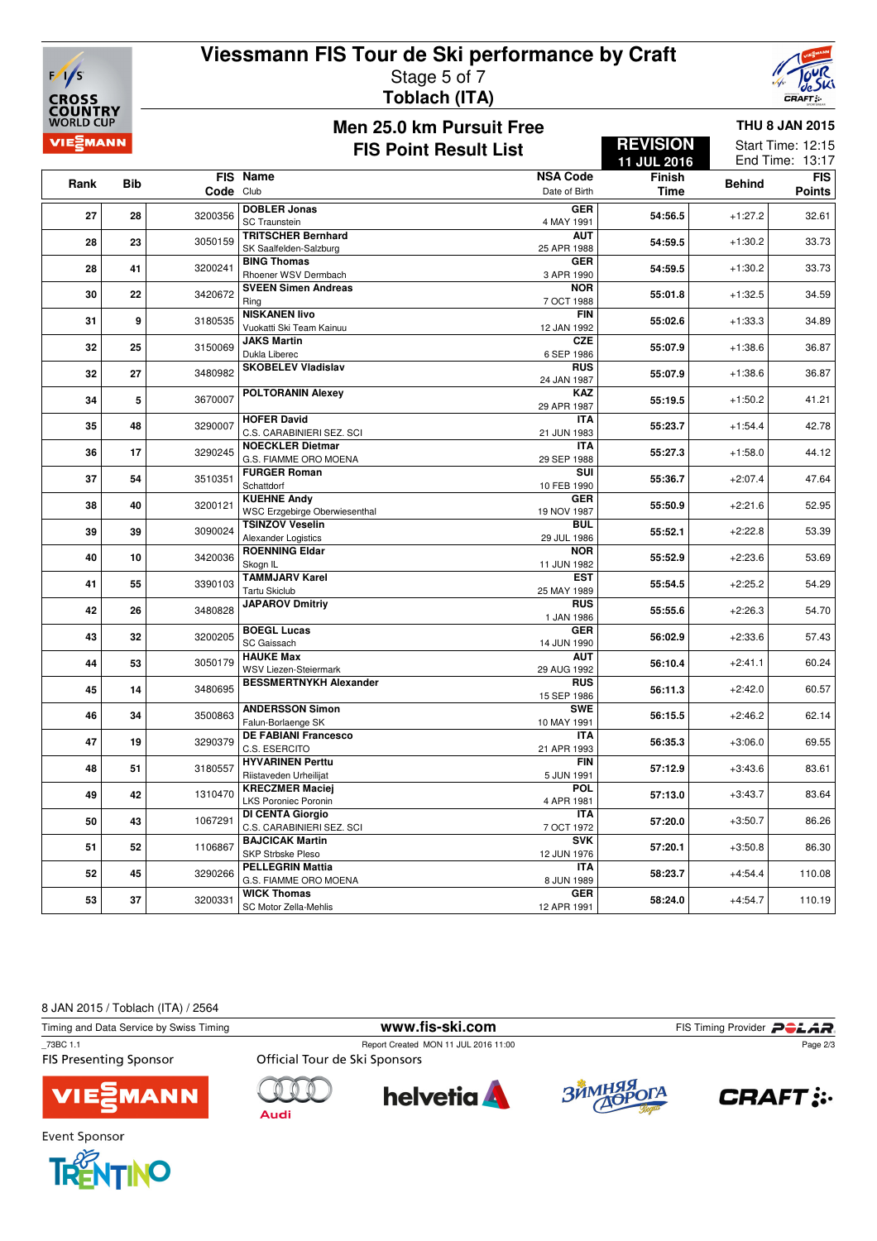

### **Viessmann FIS Tour de Ski performance by Craft** Stage 5 of 7 **Toblach (ITA)**



#### **Men 25.0 km Pursuit Free FIS Point Result List**

**REVISION**

**THU 8 JAN 2015** Start Time: 12:15

|      |            |           |                                                       |                           | 11 JUL 2016   |               | End Time: 13:17 |
|------|------------|-----------|-------------------------------------------------------|---------------------------|---------------|---------------|-----------------|
| Rank | <b>Bib</b> |           | FIS Name                                              | <b>NSA Code</b>           | <b>Finish</b> | <b>Behind</b> | <b>FIS</b>      |
|      |            | Code Club |                                                       | Date of Birth             | <b>Time</b>   |               | <b>Points</b>   |
| 27   | 28         | 3200356   | <b>DOBLER Jonas</b><br><b>SC Traunstein</b>           | <b>GER</b><br>4 MAY 1991  | 54:56.5       | $+1:27.2$     | 32.61           |
| 28   | 23         | 3050159   | <b>TRITSCHER Bernhard</b><br>SK Saalfelden-Salzburg   | <b>AUT</b><br>25 APR 1988 | 54:59.5       | $+1:30.2$     | 33.73           |
| 28   | 41         | 3200241   | <b>BING Thomas</b><br>Rhoener WSV Dermbach            | <b>GER</b><br>3 APR 1990  | 54:59.5       | $+1:30.2$     | 33.73           |
| 30   | 22         | 3420672   | <b>SVEEN Simen Andreas</b><br>Rina                    | <b>NOR</b><br>7 OCT 1988  | 55:01.8       | $+1:32.5$     | 34.59           |
| 31   | 9          | 3180535   | <b>NISKANEN livo</b><br>Vuokatti Ski Team Kainuu      | <b>FIN</b><br>12 JAN 1992 | 55:02.6       | $+1:33.3$     | 34.89           |
| 32   | 25         | 3150069   | <b>JAKS Martin</b><br>Dukla Liberec                   | <b>CZE</b><br>6 SEP 1986  | 55:07.9       | $+1:38.6$     | 36.87           |
| 32   | 27         | 3480982   | <b>SKOBELEV Vladislav</b>                             | <b>RUS</b><br>24 JAN 1987 | 55:07.9       | $+1:38.6$     | 36.87           |
| 34   | 5          | 3670007   | <b>POLTORANIN Alexey</b>                              | <b>KAZ</b><br>29 APR 1987 | 55:19.5       | $+1:50.2$     | 41.21           |
| 35   | 48         | 3290007   | <b>HOFER David</b><br>C.S. CARABINIERI SEZ. SCI       | <b>ITA</b><br>21 JUN 1983 | 55:23.7       | $+1:54.4$     | 42.78           |
| 36   | 17         | 3290245   | <b>NOECKLER Dietmar</b><br>G.S. FIAMME ORO MOENA      | <b>ITA</b><br>29 SEP 1988 | 55:27.3       | $+1:58.0$     | 44.12           |
| 37   | 54         | 3510351   | <b>FURGER Roman</b><br>Schattdorf                     | SUI<br>10 FEB 1990        | 55:36.7       | $+2:07.4$     | 47.64           |
| 38   | 40         | 3200121   | <b>KUEHNE Andy</b><br>WSC Erzgebirge Oberwiesenthal   | <b>GER</b><br>19 NOV 1987 | 55:50.9       | $+2:21.6$     | 52.95           |
| 39   | 39         | 3090024   | <b>TSINZOV Veselin</b><br>Alexander Logistics         | <b>BUL</b><br>29 JUL 1986 | 55:52.1       | $+2:22.8$     | 53.39           |
| 40   | 10         | 3420036   | <b>ROENNING Eldar</b><br>Skogn IL                     | <b>NOR</b><br>11 JUN 1982 | 55:52.9       | $+2:23.6$     | 53.69           |
| 41   | 55         | 3390103   | <b>TAMMJARV Karel</b><br><b>Tartu Skiclub</b>         | <b>EST</b><br>25 MAY 1989 | 55:54.5       | $+2:25.2$     | 54.29           |
| 42   | 26         | 3480828   | <b>JAPAROV Dmitriy</b>                                | <b>RUS</b><br>1 JAN 1986  | 55:55.6       | $+2:26.3$     | 54.70           |
| 43   | 32         | 3200205   | <b>BOEGL Lucas</b><br>SC Gaissach                     | <b>GER</b><br>14 JUN 1990 | 56:02.9       | $+2:33.6$     | 57.43           |
| 44   | 53         | 3050179   | <b>HAUKE Max</b><br>WSV Liezen-Steiermark             | <b>AUT</b><br>29 AUG 1992 | 56:10.4       | $+2:41.1$     | 60.24           |
| 45   | 14         | 3480695   | <b>BESSMERTNYKH Alexander</b>                         | <b>RUS</b><br>15 SEP 1986 | 56:11.3       | $+2:42.0$     | 60.57           |
| 46   | 34         | 3500863   | <b>ANDERSSON Simon</b><br>Falun-Borlaenge SK          | <b>SWE</b><br>10 MAY 1991 | 56:15.5       | $+2:46.2$     | 62.14           |
| 47   | 19         | 3290379   | <b>DE FABIANI Francesco</b><br>C.S. ESERCITO          | <b>ITA</b><br>21 APR 1993 | 56:35.3       | $+3:06.0$     | 69.55           |
| 48   | 51         | 3180557   | <b>HYVARINEN Perttu</b><br>Riistaveden Urheilijat     | <b>FIN</b><br>5 JUN 1991  | 57:12.9       | $+3:43.6$     | 83.61           |
| 49   | 42         | 1310470   | <b>KRECZMER Maciej</b><br><b>LKS Poroniec Poronin</b> | POL<br>4 APR 1981         | 57:13.0       | $+3:43.7$     | 83.64           |
| 50   | 43         | 1067291   | <b>DI CENTA Giorgio</b><br>C.S. CARABINIERI SEZ. SCI  | <b>ITA</b><br>7 OCT 1972  | 57:20.0       | $+3:50.7$     | 86.26           |
| 51   | 52         | 1106867   | <b>BAJCICAK Martin</b><br><b>SKP Strbske Pleso</b>    | <b>SVK</b><br>12 JUN 1976 | 57:20.1       | $+3:50.8$     | 86.30           |
| 52   | 45         | 3290266   | <b>PELLEGRIN Mattia</b><br>G.S. FIAMME ORO MOENA      | <b>ITA</b><br>8 JUN 1989  | 58:23.7       | $+4:54.4$     | 110.08          |
| 53   | 37         | 3200331   | <b>WICK Thomas</b><br>SC Motor Zella-Mehlis           | <b>GER</b><br>12 APR 1991 | 58:24.0       | $+4:54.7$     | 110.19          |

8 JAN 2015 / Toblach (ITA) / 2564

Timing and Data Service by Swiss Timing **www.fis-ski.com** FIS Timing Provider **PCLAR**<br>
T3BC 1.1 Report Created MON 11 JUL 2016 11:00

**FIS Presenting Sponsor** 



Report Created MON 11 JUL 2016 11:00<br>Official Tour de Ski Sponsors









Page 2/3

Event Sponsor